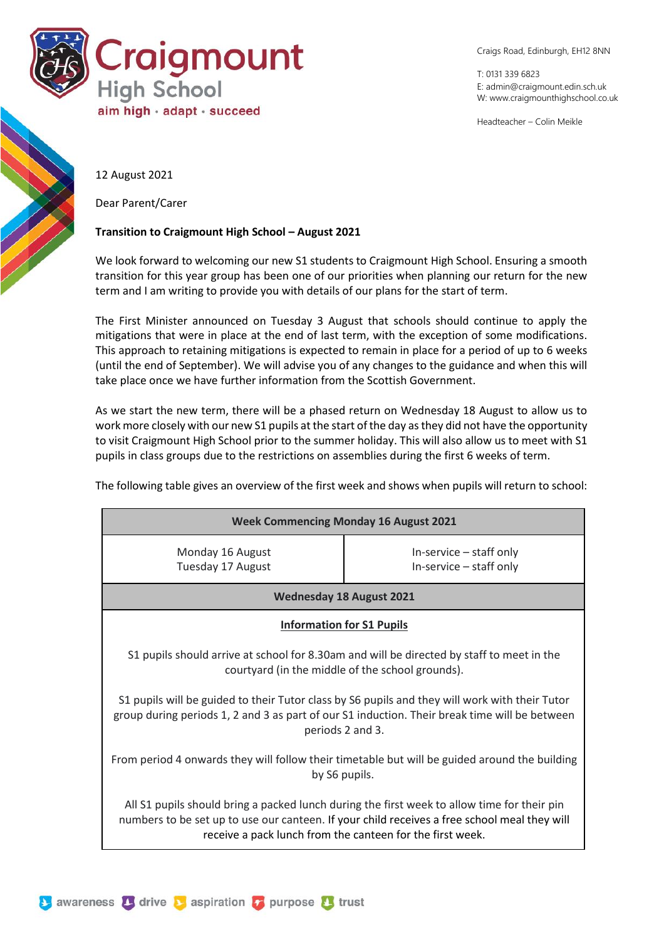

Craigs Road, Edinburgh, EH12 8NN

T: 0131 339 6823 E: [admin@craigmount.edin.sch.uk](mailto:admin@craigmount.edin.sch.uk) W[: www.craigmounthighschool.co.uk](http://www.craigmounthighschool.co.uk/)

Headteacher – Colin Meikle

12 August 2021

Dear Parent/Carer

## **Transition to Craigmount High School – August 2021**

We look forward to welcoming our new S1 students to Craigmount High School. Ensuring a smooth transition for this year group has been one of our priorities when planning our return for the new term and I am writing to provide you with details of our plans for the start of term.

The First Minister announced on Tuesday 3 August that schools should continue to apply the mitigations that were in place at the end of last term, with the exception of some modifications. This approach to retaining mitigations is expected to remain in place for a period of up to 6 weeks (until the end of September). We will advise you of any changes to the guidance and when this will take place once we have further information from the Scottish Government.

As we start the new term, there will be a phased return on Wednesday 18 August to allow us to work more closely with our new S1 pupils at the start of the day as they did not have the opportunity to visit Craigmount High School prior to the summer holiday. This will also allow us to meet with S1 pupils in class groups due to the restrictions on assemblies during the first 6 weeks of term.

The following table gives an overview of the first week and shows when pupils will return to school:

| <b>Week Commencing Monday 16 August 2021</b>                                                                                                                                                                                                             |                                                        |
|----------------------------------------------------------------------------------------------------------------------------------------------------------------------------------------------------------------------------------------------------------|--------------------------------------------------------|
| Monday 16 August<br>Tuesday 17 August                                                                                                                                                                                                                    | $In-service - staff only$<br>$In-service - staff only$ |
| <b>Wednesday 18 August 2021</b>                                                                                                                                                                                                                          |                                                        |
| <b>Information for S1 Pupils</b>                                                                                                                                                                                                                         |                                                        |
| S1 pupils should arrive at school for 8.30am and will be directed by staff to meet in the<br>courtyard (in the middle of the school grounds).                                                                                                            |                                                        |
| S1 pupils will be guided to their Tutor class by S6 pupils and they will work with their Tutor<br>group during periods 1, 2 and 3 as part of our S1 induction. Their break time will be between<br>periods 2 and 3.                                      |                                                        |
| From period 4 onwards they will follow their timetable but will be guided around the building<br>by S6 pupils.                                                                                                                                           |                                                        |
| All S1 pupils should bring a packed lunch during the first week to allow time for their pin<br>numbers to be set up to use our canteen. If your child receives a free school meal they will<br>receive a pack lunch from the canteen for the first week. |                                                        |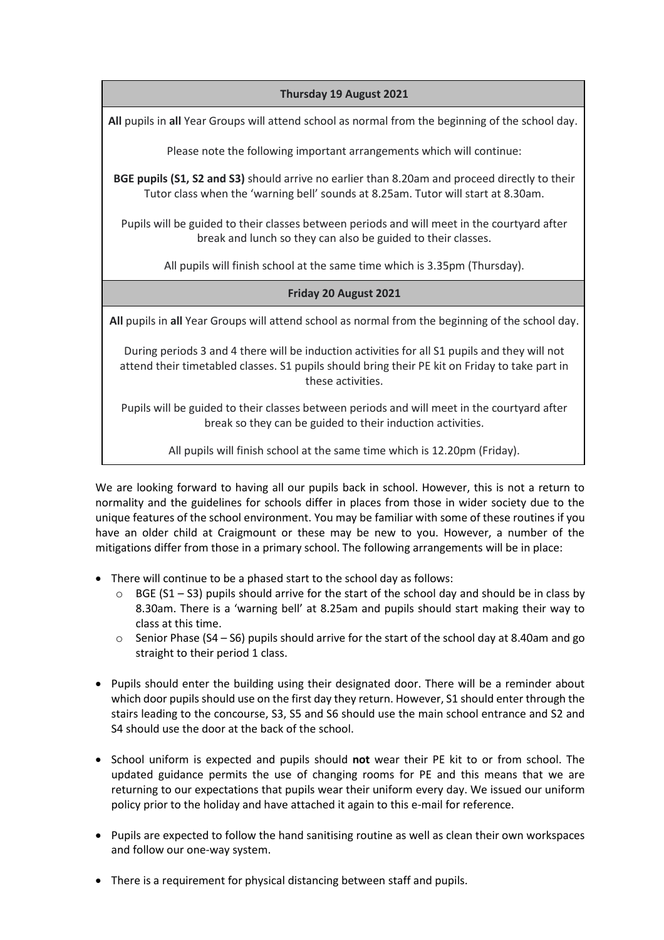## **Thursday 19 August 2021**

**All** pupils in **all** Year Groups will attend school as normal from the beginning of the school day.

Please note the following important arrangements which will continue:

**BGE pupils (S1, S2 and S3)** should arrive no earlier than 8.20am and proceed directly to their Tutor class when the 'warning bell' sounds at 8.25am. Tutor will start at 8.30am.

Pupils will be guided to their classes between periods and will meet in the courtyard after break and lunch so they can also be guided to their classes.

All pupils will finish school at the same time which is 3.35pm (Thursday).

## **Friday 20 August 2021**

**All** pupils in **all** Year Groups will attend school as normal from the beginning of the school day.

During periods 3 and 4 there will be induction activities for all S1 pupils and they will not attend their timetabled classes. S1 pupils should bring their PE kit on Friday to take part in these activities.

Pupils will be guided to their classes between periods and will meet in the courtyard after break so they can be guided to their induction activities.

All pupils will finish school at the same time which is 12.20pm (Friday).

We are looking forward to having all our pupils back in school. However, this is not a return to normality and the guidelines for schools differ in places from those in wider society due to the unique features of the school environment. You may be familiar with some of these routines if you have an older child at Craigmount or these may be new to you. However, a number of the mitigations differ from those in a primary school. The following arrangements will be in place:

- There will continue to be a phased start to the school day as follows:
	- $\circ$  BGE (S1 S3) pupils should arrive for the start of the school day and should be in class by 8.30am. There is a 'warning bell' at 8.25am and pupils should start making their way to class at this time.
	- $\circ$  Senior Phase (S4 S6) pupils should arrive for the start of the school day at 8.40am and go straight to their period 1 class.
- Pupils should enter the building using their designated door. There will be a reminder about which door pupils should use on the first day they return. However, S1 should enter through the stairs leading to the concourse, S3, S5 and S6 should use the main school entrance and S2 and S4 should use the door at the back of the school.
- School uniform is expected and pupils should **not** wear their PE kit to or from school. The updated guidance permits the use of changing rooms for PE and this means that we are returning to our expectations that pupils wear their uniform every day. We issued our uniform policy prior to the holiday and have attached it again to this e-mail for reference.
- Pupils are expected to follow the hand sanitising routine as well as clean their own workspaces and follow our one-way system.
- There is a requirement for physical distancing between staff and pupils.